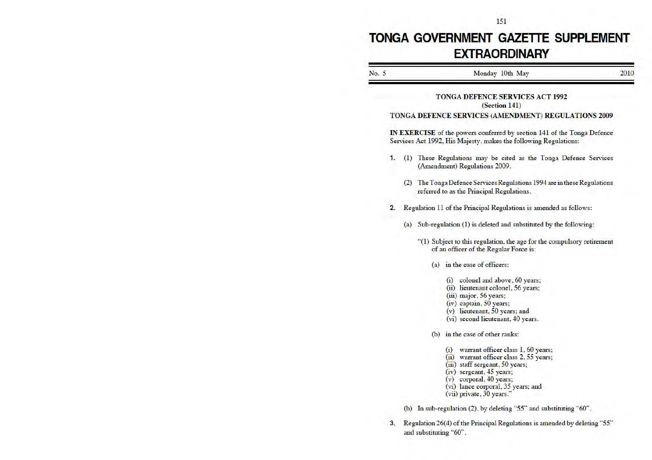# **TONGA GOVERNMENT GAZETTE SUPPLEMENT EXTRAORDINARY**

| No. 5 |    | Monday 10th May                                                                                                                                                                                                                                    | 2010 |
|-------|----|----------------------------------------------------------------------------------------------------------------------------------------------------------------------------------------------------------------------------------------------------|------|
|       |    | <b>TONGA DEFENCE SERVICES ACT 1992</b><br>(Section 141)                                                                                                                                                                                            |      |
|       |    | TONGA DEFENCE SERVICES (AMENDMENT) REGULATIONS 2009                                                                                                                                                                                                |      |
|       |    | <b>IN EXERCISE</b> of the powers conferred by section 141 of the Tonga Defence<br>Services Act 1992, His Majesty, makes the following Regulations:                                                                                                 |      |
|       | 1. | (1) These Regulations may be cited as the Tonga Defence Services<br>(Amendment) Regulations 2009.                                                                                                                                                  |      |
|       |    | (2) The Tonga Defence Services Regulations 1994 are in these Regulations<br>referred to as the Principal Regulations.                                                                                                                              |      |
|       | 2. | Regulation 11 of the Principal Regulations is amended as follows:                                                                                                                                                                                  |      |
|       |    | (a) Sub-regulation (1) is deleted and substituted by the following:                                                                                                                                                                                |      |
|       |    | "(1) Subject to this regulation, the age for the compulsory retirement<br>of an officer of the Regular Force is:                                                                                                                                   |      |
|       |    | (a) in the case of officers:                                                                                                                                                                                                                       |      |
|       |    | (i) colonel and above, 60 years;<br>(ii) lieutenant colonel, 56 years;<br>$(iii)$ major, 56 years;<br>(iv) captain, 50 years;<br>(v) lieutenant, 50 years; and<br>(vi) second lieutenant, 40 years.                                                |      |
|       |    | (b) in the case of other ranks:                                                                                                                                                                                                                    |      |
|       |    | (i) warrant officer class 1, 60 years;<br>(ii) warrant officer class 2, 55 years;<br>(iii) staff sergeant, 50 years;<br>(iv) sergeant, 45 years;<br>(v) corporal, 40 years;<br>(vi) lance corporal, 35 years; and<br>$(vii)$ private, $30$ years." |      |
|       |    | (b) In sub-regulation (2), by deleting "55" and substituting "60".                                                                                                                                                                                 |      |
|       | 3. | Regulation 26(4) of the Principal Regulations is amended by deleting "55"                                                                                                                                                                          |      |

and substituting "60".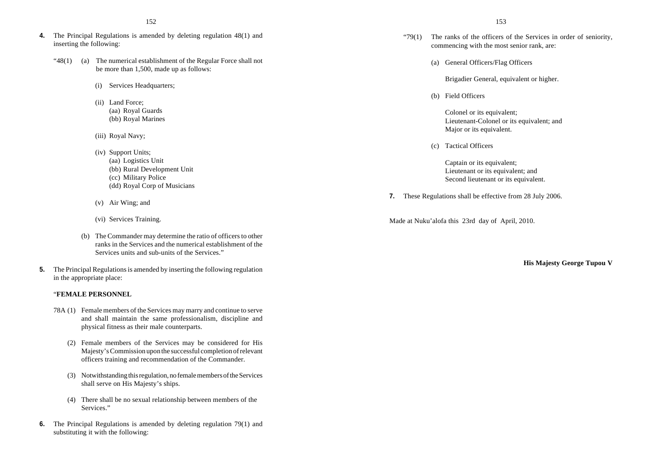- **4.** The Principal Regulations is amended by deleting regulation 48(1) and inserting the following:
	- " $48(1)$  (a) The numerical establishment of the Regular Force shall not be more than 1,500, made up as follows:
		- (i) Services Headquarters;
		- (ii) Land Force; (aa) Royal Guards (bb) Royal Marines
		- (iii) Royal Navy;
		- (iv) Support Units;
			- (aa) Logistics Unit (bb) Rural Development Unit (cc) Military Police (dd) Royal Corp of Musicians
		- (v) Air Wing; and
		- (vi) Services Training.
		- (b) The Commander may determine the ratio of officers to other ranks in the Services and the numerical establishment of the Services units and sub-units of the Services."
- **5.** The Principal Regulations is amended by inserting the following regulation in the appropriate place:

#### "**FEMALE PERSONNEL**

- 78A (1) Female members of the Services may marry and continue to serve and shall maintain the same professionalism, discipline and physical fitness as their male counterparts.
	- (2) Female members of the Services may be considered for His Majesty's Commission upon the successful completion of relevant officers training and recommendation of the Commander.
	- (3) Notwithstanding this regulation, no female members of the Services shall serve on His Majesty's ships.
	- (4) There shall be no sexual relationship between members of the Services."
- **6.** The Principal Regulations is amended by deleting regulation 79(1) and substituting it with the following:
- " $79(1)$  The ranks of the officers of the Services in order of seniority, commencing with the most senior rank, are:
	- (a) General Officers/Flag Officers

Brigadier General, equivalent or higher.

(b) Field Officers

Colonel or its equivalent; Lieutenant-Colonel or its equivalent; and Major or its equivalent.

(c) Tactical Officers

Captain or its equivalent; Lieutenant or its equivalent; and Second lieutenant or its equivalent.

**7.** These Regulations shall be effective from 28 July 2006.

Made at Nuku'alofa this 23rd day of April, 2010.

**His Majesty George Tupou V**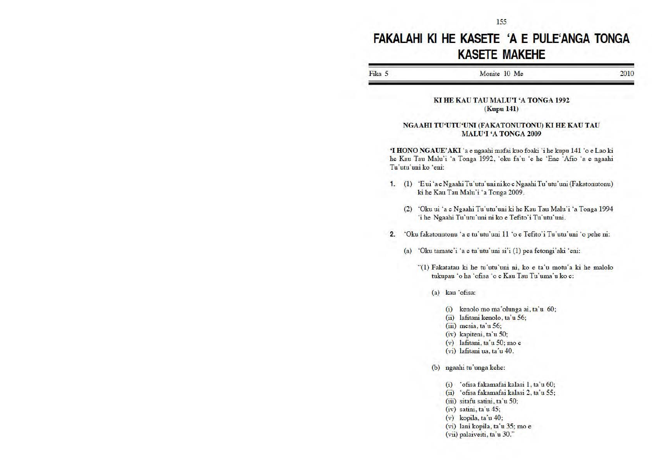## **FAKALAHI Kl HE KASETE 'A E PULE'ANGA TONGA KASETE MAKEHE**

| H <sub>1</sub> <sub>Ka</sub> | 10 Me<br>Monite | ንበ. |
|------------------------------|-----------------|-----|
|                              |                 |     |

#### KI HE KAU TAU MALU'I 'A TONGA 1992 (Kopu 141)

#### NGAAHI TU'UTU'UNI (FAKATONUTONU) KI HE KAU TAU MALU'I 'A TONGA 2009

'I HONO NGAUE' AKI 'a e ngaahi mafai kuo foaki 'i he kupu 141 'o e Lao ki he Kau Tau Malu'i 'a Tonga 1992, 'oku fa'u 'e he 'Ene 'Afio 'a e ngaahi Tu'utu'uni ko 'eni:

- 1. (1) 'E ui 'aeNgaahi Tu'utu'uninikoeNgaahi Tu'utu'uni (Fakatonutonu) ki he Kau Tau Malu'i 'a Tonga 2009.
	- (2) 'Oku ui 'a e Ngaahi Tu'utu'uni ki he Kau Tau Malu'i 'a Tonga 1994 'i he Ngaahi Tu'utu'uni ni ko e Tefito'i Tu'utu'uni.
- 2. 'Oku fakatonutonu 'a e tu'utu'uni 11 'o e Tefito'i Tu'utu'uni 'o pehe ni:
	- (a) 'Oku tamate'i 'a e tu'utu'uni si'i  $(1)$  pea fetongi'aki 'eni:

"(1) Fakatatau ki he tu'utu'uni ni, ko e ta'u motu'a ki he malolo tukupau 'o ha 'ofisa 'o e Kau Tau Tu'uma'u ko e:

(a) kau 'ofisa:

- (i) kenolo mo ma'ohmga ai, ta'u 60; (ii) lafitani kenolo, ta'u 56; (iii) mesia, ta 'u 56;  $(iv)$  kapiteni, ta'u 50; (v) lafitani, ta'u 50; moe (vi) lafitani ua, ta'u 40. (b) ngaahi tu'unga kehe: (i) 'ofisa fakamafaikalasi 1, ta 'u 60; (ii) ·ofisa fakamafai kalasi 2, ta'u 55; (iii) sitafu satini, ta'u 50: (iv) satini, ta'u 45; (v) kopila, ta'u 40; (vi) lani kopila, ta 'u 35; mo e
	- (vii) palaiveiti, ta 'u 30."